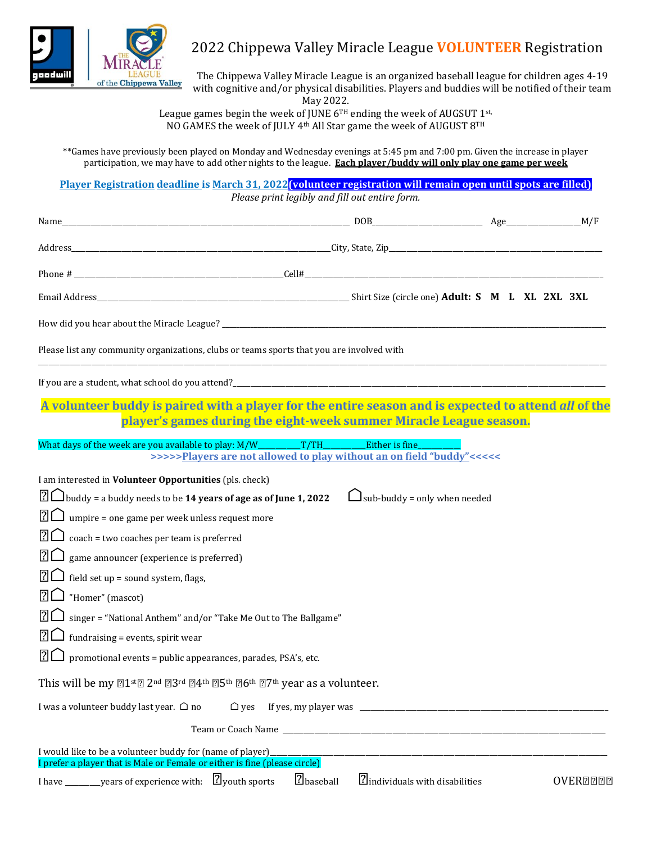

## 2022 Chippewa Valley Miracle League **VOLUNTEER** Registration

The Chippewa Valley Miracle League is an organized baseball league for children ages 4-19 with cognitive and/or physical disabilities. Players and buddies will be notified of their team May 2022.

League games begin the week of JUNE  $6^{TH}$  ending the week of AUGSUT 1st, NO GAMES the week of JULY 4th All Star game the week of AUGUST 8TH

\*\*Games have previously been played on Monday and Wednesday evenings at 5:45 pm and 7:00 pm. Given the increase in player participation, we may have to add other nights to the league. **Each player/buddy will only play one game per week**

**Player Registration deadline is March 31, 2022(volunteer registration will remain open until spots are filled)** *Please print legibly and fill out entire form.*

| Please list any community organizations, clubs or teams sports that you are involved with                                                                                                                                                                                                                                                                                                                                                                                                                                                                                                                                                                                                                                                   |           |                                                                                                |                 |
|---------------------------------------------------------------------------------------------------------------------------------------------------------------------------------------------------------------------------------------------------------------------------------------------------------------------------------------------------------------------------------------------------------------------------------------------------------------------------------------------------------------------------------------------------------------------------------------------------------------------------------------------------------------------------------------------------------------------------------------------|-----------|------------------------------------------------------------------------------------------------|-----------------|
| If you are a student, what school do you attend?<br>The manufacture and the manufacture of the manufacture of the manufacture of the manufacture of the manufacture of the manufacture of the manufacture of the manufacture of                                                                                                                                                                                                                                                                                                                                                                                                                                                                                                             |           |                                                                                                |                 |
| A volunteer buddy is paired with a player for the entire season and is expected to attend all of the                                                                                                                                                                                                                                                                                                                                                                                                                                                                                                                                                                                                                                        |           | player's games during the eight-week summer Miracle League season.                             |                 |
| What days of the week are you available to play: M/W___________T/TH_                                                                                                                                                                                                                                                                                                                                                                                                                                                                                                                                                                                                                                                                        |           | <b>Either is fine</b><br>>>>>>Players are not allowed to play without an on field "buddy"<<<<< |                 |
| $\boxed{?}$ buddy = a buddy needs to be 14 years of age as of June 1, 2022<br>$\boxed{?}$ umpire = one game per week unless request more<br>$\boxed{?}$ $\boxed{\phantom{?}}$ coach = two coaches per team is preferred<br>$\boxed{?}$ game announcer (experience is preferred)<br>$\boxed{?}$ field set up = sound system, flags,<br>$\boxed{?}$ $\boxed{>}$ "Homer" (mascot)<br>$\boxed{?}$ singer = "National Anthem" and/or "Take Me Out to The Ballgame"<br>$\boxed{?}$ fundraising = events, spirit wear<br>$\boxed{?}$ promotional events = public appearances, parades, PSA's, etc.<br>This will be my 21st 2nd 23rd 24th 25th 26th 27th year as a volunteer.<br>I was a volunteer buddy last year. $\bigcirc$ no<br>$\bigcirc$ yes |           | $\Box$ sub-buddy = only when needed                                                            |                 |
| I would like to be a volunteer buddy for (name of player)<br>I prefer a player that is Male or Female or either is fine (please circle)                                                                                                                                                                                                                                                                                                                                                                                                                                                                                                                                                                                                     |           |                                                                                                |                 |
| I have ___________ years of experience with: $\boxed{?}$ youth sports                                                                                                                                                                                                                                                                                                                                                                                                                                                                                                                                                                                                                                                                       | ?baseball | 2 individuals with disabilities                                                                | <b>OVEREEEE</b> |